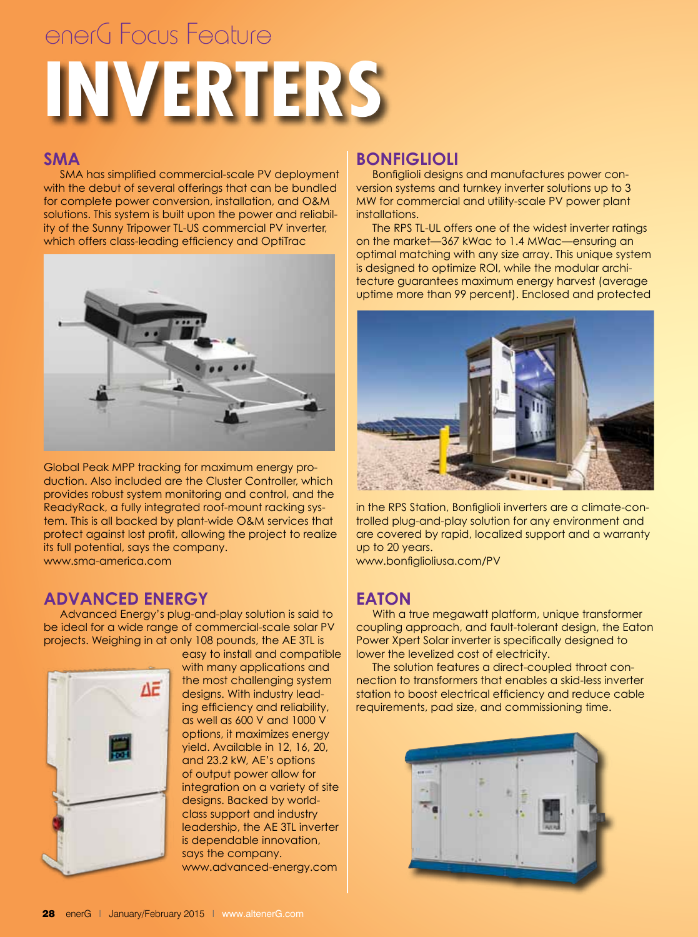# **INVERTERS** enerG Focus Feature

#### **SMA**

 SMA has simplified commercial-scale PV deployment with the debut of several offerings that can be bundled for complete power conversion, installation, and O&M solutions. This system is built upon the power and reliability of the Sunny Tripower TL-US commercial PV inverter, which offers class-leading efficiency and OptiTrac



Global Peak MPP tracking for maximum energy production. Also included are the Cluster Controller, which provides robust system monitoring and control, and the ReadyRack, a fully integrated roof-mount racking system. This is all backed by plant-wide O&M services that protect against lost profit, allowing the project to realize its full potential, says the company. www.sma-america.com

#### **Advanced Energy**

 Advanced Energy's plug-and-play solution is said to be ideal for a wide range of commercial-scale solar PV projects. Weighing in at only 108 pounds, the AE 3TL is



easy to install and compatible with many applications and the most challenging system designs. With industry leading efficiency and reliability, as well as 600 V and 1000 V options, it maximizes energy yield. Available in 12, 16, 20, and 23.2 kW, AE's options of output power allow for integration on a variety of site designs. Backed by worldclass support and industry leadership, the AE 3TL inverter is dependable innovation, says the company. www.advanced-energy.com

#### **Bonfiglioli**

 Bonfiglioli designs and manufactures power conversion systems and turnkey inverter solutions up to 3 MW for commercial and utility-scale PV power plant installations.

 The RPS TL-UL offers one of the widest inverter ratings on the market—367 kWac to 1.4 MWac—ensuring an optimal matching with any size array. This unique system is designed to optimize ROI, while the modular architecture guarantees maximum energy harvest (average uptime more than 99 percent). Enclosed and protected



in the RPS Station, Bonfiglioli inverters are a climate-controlled plug-and-play solution for any environment and are covered by rapid, localized support and a warranty up to 20 years. www.bonfiglioliusa.com/PV

**Eaton**

 With a true megawatt platform, unique transformer coupling approach, and fault-tolerant design, the Eaton Power Xpert Solar inverter is specifically designed to lower the levelized cost of electricity.

 The solution features a direct-coupled throat connection to transformers that enables a skid-less inverter station to boost electrical efficiency and reduce cable requirements, pad size, and commissioning time.

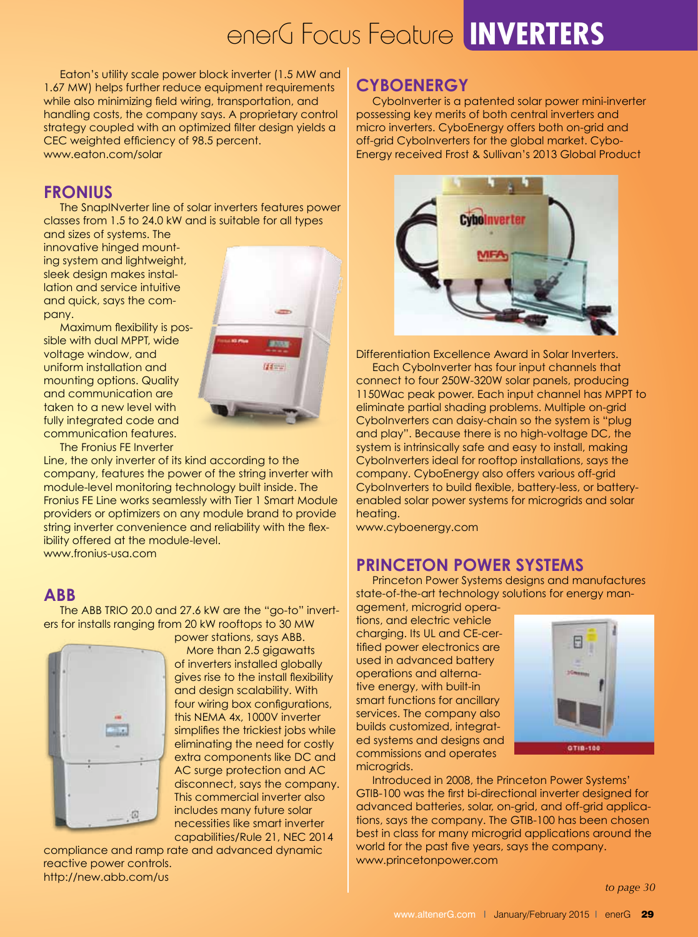### enerG Focus Feature **INVERTERS**

 Eaton's utility scale power block inverter (1.5 MW and 1.67 MW) helps further reduce equipment requirements while also minimizing field wiring, transportation, and handling costs, the company says. A proprietary control strategy coupled with an optimized filter design yields a CEC weighted efficiency of 98.5 percent. www.eaton.com/solar

#### **Fronius**

 The SnapINverter line of solar inverters features power classes from 1.5 to 24.0 kW and is suitable for all types

and sizes of systems. The innovative hinged mounting system and lightweight, sleek design makes installation and service intuitive and quick, says the company.



 Maximum flexibility is possible with dual MPPT, wide voltage window, and uniform installation and mounting options. Quality and communication are taken to a new level with fully integrated code and communication features.

 The Fronius FE Inverter

Line, the only inverter of its kind according to the company, features the power of the string inverter with module-level monitoring technology built inside. The Fronius FE Line works seamlessly with Tier 1 Smart Module providers or optimizers on any module brand to provide string inverter convenience and reliability with the flexibility offered at the module-level. www.fronius-usa.com

#### **ABB**

 The ABB TRIO 20.0 and 27.6 kW are the "go-to" inverters for installs ranging from 20 kW rooftops to 30 MW power stations, says ABB.



 More than 2.5 gigawatts of inverters installed globally gives rise to the install flexibility and design scalability. With four wiring box configurations, this NEMA 4x, 1000V inverter simplifies the trickiest jobs while eliminating the need for costly extra components like DC and AC surge protection and AC disconnect, says the company. This commercial inverter also includes many future solar necessities like smart inverter capabilities/Rule 21, NEC 2014

compliance and ramp rate and advanced dynamic reactive power controls. http://new.abb.com/us

#### **CyboEnergy**

 CyboInverter is a patented solar power mini-inverter possessing key merits of both central inverters and micro inverters. CyboEnergy offers both on-grid and off-grid CyboInverters for the global market. Cybo-Energy received Frost & Sullivan's 2013 Global Product



Differentiation Excellence Award in Solar Inverters. Each CyboInverter has four input channels that connect to four 250W-320W solar panels, producing 1150Wac peak power. Each input channel has MPPT to eliminate partial shading problems. Multiple on-grid CyboInverters can daisy-chain so the system is "plug and play". Because there is no high-voltage DC, the system is intrinsically safe and easy to install, making CyboInverters ideal for rooftop installations, says the company. CyboEnergy also offers various off-grid CyboInverters to build flexible, battery-less, or batteryenabled solar power systems for microgrids and solar heating.

www.cyboenergy.com

#### **Princeton Power Systems**

 Princeton Power Systems designs and manufactures state-of-the-art technology solutions for energy man-

agement, microgrid operations, and electric vehicle charging. Its UL and CE-certified power electronics are used in advanced battery operations and alternative energy, with built-in smart functions for ancillary services. The company also builds customized, integrated systems and designs and commissions and operates microgrids.



 Introduced in 2008, the Princeton Power Systems' GTIB-100 was the first bi-directional inverter designed for advanced batteries, solar, on-grid, and off-grid applications, says the company. The GTIB-100 has been chosen best in class for many microgrid applications around the world for the past five years, says the company. www.princetonpower.com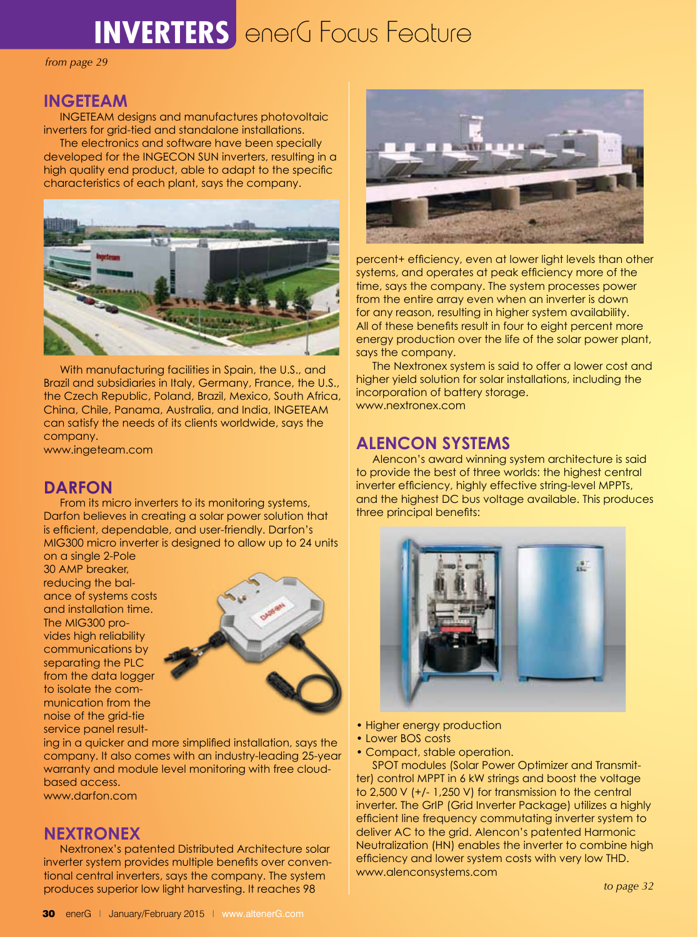### **INVERTERS** enerG Focus Feature

*from page 29*

#### **INGETEAM**

 INGETEAM designs and manufactures photovoltaic inverters for grid-tied and standalone installations.

 The electronics and software have been specially developed for the INGECON SUN inverters, resulting in a high quality end product, able to adapt to the specific characteristics of each plant, says the company.



 With manufacturing facilities in Spain, the U.S., and Brazil and subsidiaries in Italy, Germany, France, the U.S., the Czech Republic, Poland, Brazil, Mexico, South Africa, China, Chile, Panama, Australia, and India, INGETEAM can satisfy the needs of its clients worldwide, says the company.

www.ingeteam.com

#### **Darfon**

 From its micro inverters to its monitoring systems, Darfon believes in creating a solar power solution that is efficient, dependable, and user-friendly. Darfon's MIG300 micro inverter is designed to allow up to 24 units

on a single 2-Pole 30 AMP breaker, reducing the balance of systems costs and installation time. The MIG300 provides high reliability communications by separating the PLC from the data logger to isolate the communication from the noise of the grid-tie service panel result-



ing in a quicker and more simplified installation, says the company. It also comes with an industry-leading 25-year warranty and module level monitoring with free cloudbased access.

www.darfon.com

#### **Nextronex**

 Nextronex's patented Distributed Architecture solar inverter system provides multiple benefits over conventional central inverters, says the company. The system produces superior low light harvesting. It reaches 98



percent+ efficiency, even at lower light levels than other systems, and operates at peak efficiency more of the time, says the company. The system processes power from the entire array even when an inverter is down for any reason, resulting in higher system availability. All of these benefits result in four to eight percent more energy production over the life of the solar power plant, says the company.

 The Nextronex system is said to offer a lower cost and higher yield solution for solar installations, including the incorporation of battery storage. www.nextronex.com

#### **Alencon Systems**

 Alencon's award winning system architecture is said to provide the best of three worlds: the highest central inverter efficiency, highly effective string-level MPPTs, and the highest DC bus voltage available. This produces three principal benefits:



- Higher energy production
- Lower BOS costs
- Compact, stable operation.

 SPOT modules (Solar Power Optimizer and Transmitter) control MPPT in 6 kW strings and boost the voltage to 2,500 V (+/- 1,250 V) for transmission to the central inverter. The GrIP (Grid Inverter Package) utilizes a highly efficient line frequency commutating inverter system to deliver AC to the grid. Alencon's patented Harmonic Neutralization (HN) enables the inverter to combine high efficiency and lower system costs with very low THD. www.alenconsystems.com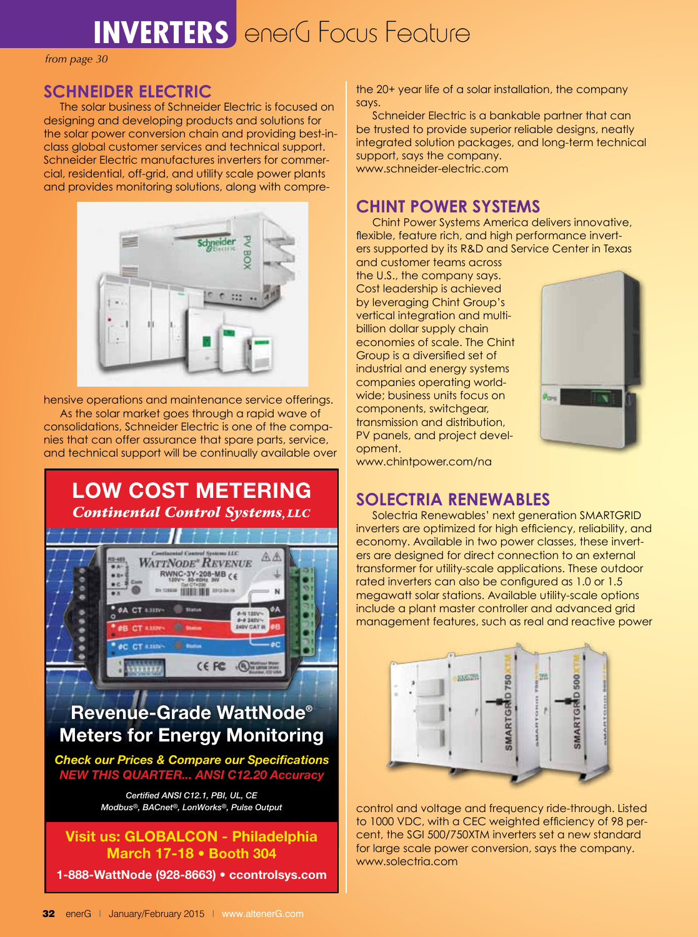### **INVERTERS** enerG Focus Feature

*from page 30*

#### **Schneider Electric**

 The solar business of Schneider Electric is focused on designing and developing products and solutions for the solar power conversion chain and providing best-inclass global customer services and technical support. Schneider Electric manufactures inverters for commercial, residential, off-grid, and utility scale power plants and provides monitoring solutions, along with compre-



hensive operations and maintenance service offerings.

 As the solar market goes through a rapid wave of consolidations, Schneider Electric is one of the companies that can offer assurance that spare parts, service, and technical support will be continually available over

# LOW COST METERING<br>Continental Control Systems, LLC



## Meters for Energy Monitoring

*NEW THIS QUARTER... ANSI C12.20 Accuracy Check our Prices & Compare our Specifications*

> *Certified ANSI C12.1, PBI, UL, CE Modbus®, BACnet®, LonWorks®, Pulse Output*

Visit us: GLOBALCON - Philadelphia March 17-18 • Booth 304

1-888-WattNode (928-8663) • ccontrolsys.com

the 20+ year life of a solar installation, the company says.

 Schneider Electric is a bankable partner that can be trusted to provide superior reliable designs, neatly integrated solution packages, and long-term technical support, says the company. www.schneider-electric.com

#### **Chint Power Systems**

 Chint Power Systems America delivers innovative, flexible, feature rich, and high performance inverters supported by its R&D and Service Center in Texas and customer teams across

the U.S., the company says. Cost leadership is achieved by leveraging Chint Group's vertical integration and multibillion dollar supply chain economies of scale. The Chint Group is a diversified set of industrial and energy systems companies operating worldwide; business units focus on components, switchgear, transmission and distribution, PV panels, and project development.



www.chintpower.com/na

### **Solectria Renewables**

 Solectria Renewables' next generation SMARTGRID inverters are optimized for high efficiency, reliability, and economy. Available in two power classes, these inverters are designed for direct connection to an external transformer for utility-scale applications. These outdoor rated inverters can also be configured as 1.0 or 1.5 megawatt solar stations. Available utility-scale options include a plant master controller and advanced grid management features, such as real and reactive power



control and voltage and frequency ride-through. Listed to 1000 VDC, with a CEC weighted efficiency of 98 percent, the SGI 500/750XTM inverters set a new standard for large scale power conversion, says the company. www.solectria.com